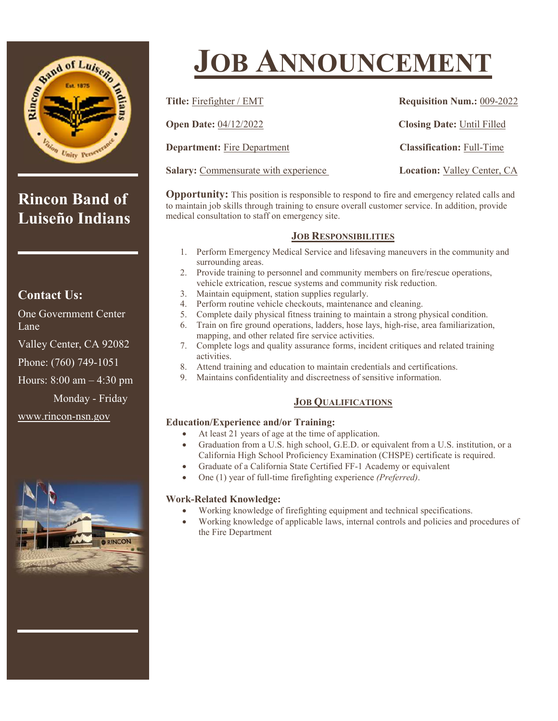

**Rincon Band of Luiseño Indians**

### **Contact Us:**

One Government Center Lane

Valley Center, CA 92082

Phone: (760) 749-1051

Hours: 8:00 am – 4:30 pm

Monday - Friday

www.rincon-nsn.gov



# **JOB ANNOUNCEMENT**

| Title: Firefighter / EMT             | <b>Requisition Num.: 009-2022</b>  |
|--------------------------------------|------------------------------------|
| <b>Open Date: 04/12/2022</b>         | <b>Closing Date: Until Filled</b>  |
| <b>Department:</b> Fire Department   | <b>Classification: Full-Time</b>   |
| Salary: Commensurate with experience | <b>Location:</b> Valley Center, CA |

**Opportunity:** This position is responsible to respond to fire and emergency related calls and to maintain job skills through training to ensure overall customer service. In addition, provide medical consultation to staff on emergency site.

#### **JOB RESPONSIBILITIES**

- 1. Perform Emergency Medical Service and lifesaving maneuvers in the community and surrounding areas.
- 2. Provide training to personnel and community members on fire/rescue operations, vehicle extrication, rescue systems and community risk reduction.
- 3. Maintain equipment, station supplies regularly.
- 4. Perform routine vehicle checkouts, maintenance and cleaning.
- 5. Complete daily physical fitness training to maintain a strong physical condition.
- Train on fire ground operations, ladders, hose lays, high-rise, area familiarization, mapping, and other related fire service activities.
- 7. Complete logs and quality assurance forms, incident critiques and related training activities.
- 8. Attend training and education to maintain credentials and certifications.
- 9. Maintains confidentiality and discreetness of sensitive information.

#### **JOB QUALIFICATIONS**

#### **Education/Experience and/or Training:**

- At least 21 years of age at the time of application.
- Graduation from a U.S. high school, G.E.D. or equivalent from a U.S. institution, or a California High School Proficiency Examination (CHSPE) certificate is required.
- Graduate of a California State Certified FF-1 Academy or equivalent
- One (1) year of full-time firefighting experience *(Preferred)*.

#### **Work-Related Knowledge:**

- Working knowledge of firefighting equipment and technical specifications.
- Working knowledge of applicable laws, internal controls and policies and procedures of the Fire Department